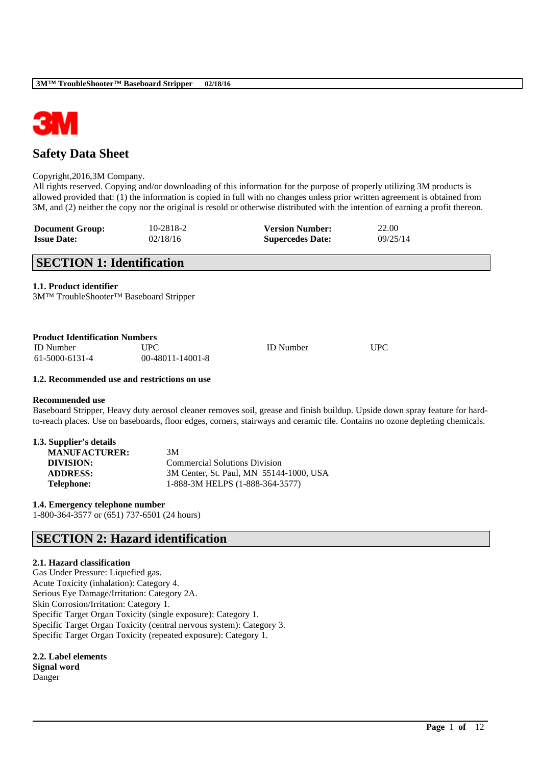

## **Safety Data Sheet**

#### Copyright,2016,3M Company.

All rights reserved. Copying and/or downloading of this information for the purpose of properly utilizing 3M products is allowed provided that: (1) the information is copied in full with no changes unless prior written agreement is obtained from 3M, and (2) neither the copy nor the original is resold or otherwise distributed with the intention of earning a profit thereon.

| <b>Document Group:</b> | 10-2818-2 | <b>Version Number:</b>  | 22.00    |
|------------------------|-----------|-------------------------|----------|
| <b>Issue Date:</b>     | 02/18/16  | <b>Supercedes Date:</b> | 09/25/14 |

### **SECTION 1: Identification**

**1.1. Product identifier**

3M™ TroubleShooter™ Baseboard Stripper

| <b>Product Identification Numbers</b> |                    |                  |     |
|---------------------------------------|--------------------|------------------|-----|
| <b>ID</b> Number                      | UPC.               | <b>ID</b> Number | UPC |
| 61-5000-6131-4                        | $00-48011-14001-8$ |                  |     |

#### **1.2. Recommended use and restrictions on use**

#### **Recommended use**

Baseboard Stripper, Heavy duty aerosol cleaner removes soil, grease and finish buildup. Upside down spray feature for hardto-reach places. Use on baseboards, floor edges, corners, stairways and ceramic tile. Contains no ozone depleting chemicals.

\_\_\_\_\_\_\_\_\_\_\_\_\_\_\_\_\_\_\_\_\_\_\_\_\_\_\_\_\_\_\_\_\_\_\_\_\_\_\_\_\_\_\_\_\_\_\_\_\_\_\_\_\_\_\_\_\_\_\_\_\_\_\_\_\_\_\_\_\_\_\_\_\_\_\_\_\_\_\_\_\_\_\_\_\_\_\_\_\_\_

| 1.3. Supplier's details |                                         |
|-------------------------|-----------------------------------------|
| <b>MANUFACTURER:</b>    | 3M                                      |
| DIVISION:               | <b>Commercial Solutions Division</b>    |
| <b>ADDRESS:</b>         | 3M Center, St. Paul, MN 55144-1000, USA |
| <b>Telephone:</b>       | 1-888-3M HELPS (1-888-364-3577)         |

**1.4. Emergency telephone number** 1-800-364-3577 or (651) 737-6501 (24 hours)

## **SECTION 2: Hazard identification**

#### **2.1. Hazard classification**

Gas Under Pressure: Liquefied gas. Acute Toxicity (inhalation): Category 4. Serious Eye Damage/Irritation: Category 2A. Skin Corrosion/Irritation: Category 1. Specific Target Organ Toxicity (single exposure): Category 1. Specific Target Organ Toxicity (central nervous system): Category 3. Specific Target Organ Toxicity (repeated exposure): Category 1.

**2.2. Label elements**

**Signal word** Danger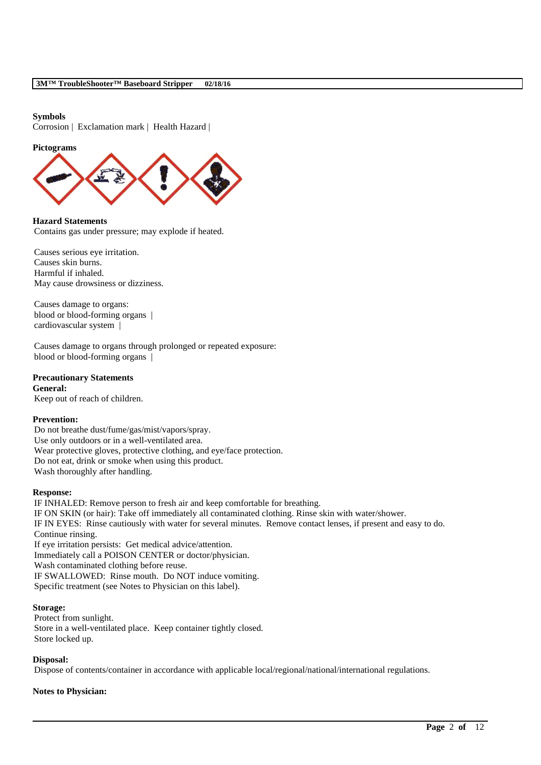#### **Symbols**

Corrosion | Exclamation mark | Health Hazard |

#### **Pictograms**



**Hazard Statements** Contains gas under pressure; may explode if heated.

Causes serious eye irritation. Causes skin burns. Harmful if inhaled. May cause drowsiness or dizziness.

Causes damage to organs: blood or blood-forming organs | cardiovascular system |

Causes damage to organs through prolonged or repeated exposure: blood or blood-forming organs |

#### **Precautionary Statements General:**

Keep out of reach of children.

#### **Prevention:**

Do not breathe dust/fume/gas/mist/vapors/spray. Use only outdoors or in a well-ventilated area. Wear protective gloves, protective clothing, and eye/face protection. Do not eat, drink or smoke when using this product. Wash thoroughly after handling.

#### **Response:**

IF INHALED: Remove person to fresh air and keep comfortable for breathing. IF ON SKIN (or hair): Take off immediately all contaminated clothing. Rinse skin with water/shower. IF IN EYES: Rinse cautiously with water for several minutes. Remove contact lenses, if present and easy to do. Continue rinsing. If eye irritation persists: Get medical advice/attention. Immediately call a POISON CENTER or doctor/physician. Wash contaminated clothing before reuse. IF SWALLOWED: Rinse mouth. Do NOT induce vomiting. Specific treatment (see Notes to Physician on this label).

## **Storage:**

Protect from sunlight. Store in a well-ventilated place. Keep container tightly closed. Store locked up.

#### **Disposal:**

Dispose of contents/container in accordance with applicable local/regional/national/international regulations.

\_\_\_\_\_\_\_\_\_\_\_\_\_\_\_\_\_\_\_\_\_\_\_\_\_\_\_\_\_\_\_\_\_\_\_\_\_\_\_\_\_\_\_\_\_\_\_\_\_\_\_\_\_\_\_\_\_\_\_\_\_\_\_\_\_\_\_\_\_\_\_\_\_\_\_\_\_\_\_\_\_\_\_\_\_\_\_\_\_\_

### **Notes to Physician:**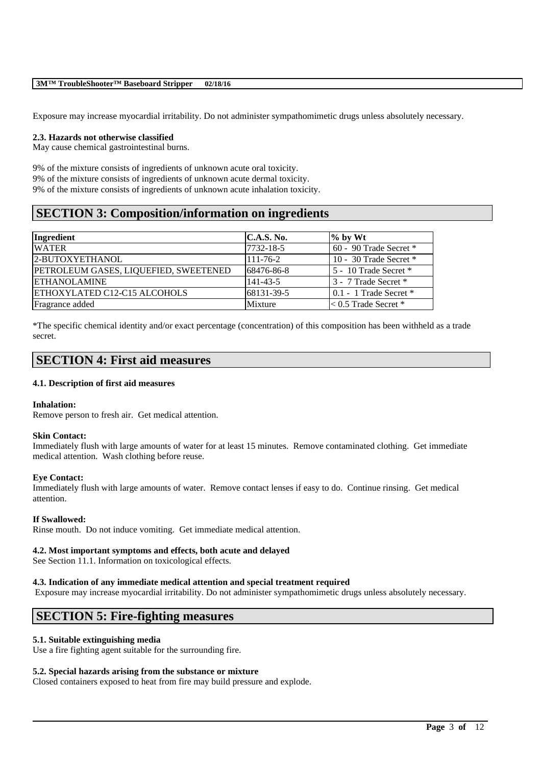Exposure may increase myocardial irritability. Do not administer sympathomimetic drugs unless absolutely necessary.

#### **2.3. Hazards not otherwise classified**

May cause chemical gastrointestinal burns.

9% of the mixture consists of ingredients of unknown acute oral toxicity. 9% of the mixture consists of ingredients of unknown acute dermal toxicity. 9% of the mixture consists of ingredients of unknown acute inhalation toxicity.

## **SECTION 3: Composition/information on ingredients**

| Ingredient                            | C.A.S. No.     | $\%$ by Wt                       |
|---------------------------------------|----------------|----------------------------------|
| <b>WATER</b>                          | 7732-18-5      | $60 - 90$ Trade Secret $*$       |
| 2-BUTOXYETHANOL                       | $111 - 76 - 2$ | 10 - 30 Trade Secret $*$         |
| PETROLEUM GASES, LIQUEFIED, SWEETENED | 68476-86-8     | 5 - 10 Trade Secret *            |
| <b>ETHANOLAMINE</b>                   | 141-43-5       | 3 - 7 Trade Secret *             |
| ETHOXYLATED C12-C15 ALCOHOLS          | 68131-39-5     | $\vert 0.1 - 1$ Trade Secret $*$ |
| Fragrance added                       | Mixture        | $\leq 0.5$ Trade Secret *        |

\*The specific chemical identity and/or exact percentage (concentration) of this composition has been withheld as a trade secret.

## **SECTION 4: First aid measures**

#### **4.1. Description of first aid measures**

#### **Inhalation:**

Remove person to fresh air. Get medical attention.

#### **Skin Contact:**

Immediately flush with large amounts of water for at least 15 minutes. Remove contaminated clothing. Get immediate medical attention. Wash clothing before reuse.

#### **Eye Contact:**

Immediately flush with large amounts of water. Remove contact lenses if easy to do. Continue rinsing. Get medical attention.

#### **If Swallowed:**

Rinse mouth. Do not induce vomiting. Get immediate medical attention.

#### **4.2. Most important symptoms and effects, both acute and delayed**

See Section 11.1. Information on toxicological effects.

#### **4.3. Indication of any immediate medical attention and special treatment required**

Exposure may increase myocardial irritability. Do not administer sympathomimetic drugs unless absolutely necessary.

\_\_\_\_\_\_\_\_\_\_\_\_\_\_\_\_\_\_\_\_\_\_\_\_\_\_\_\_\_\_\_\_\_\_\_\_\_\_\_\_\_\_\_\_\_\_\_\_\_\_\_\_\_\_\_\_\_\_\_\_\_\_\_\_\_\_\_\_\_\_\_\_\_\_\_\_\_\_\_\_\_\_\_\_\_\_\_\_\_\_

## **SECTION 5: Fire-fighting measures**

#### **5.1. Suitable extinguishing media**

Use a fire fighting agent suitable for the surrounding fire.

#### **5.2. Special hazards arising from the substance or mixture**

Closed containers exposed to heat from fire may build pressure and explode.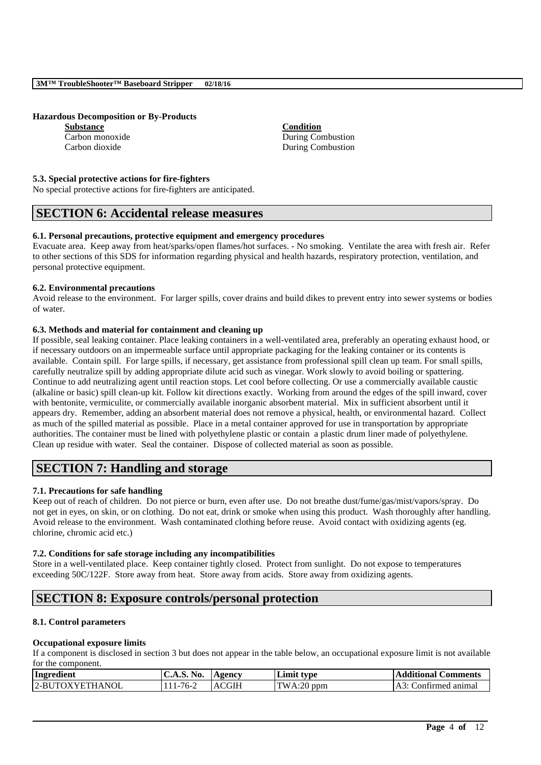**Hazardous Decomposition or By-Products**

**Substance Condition**

Carbon monoxide During Combustion Carbon dioxide During Combustion

#### **5.3. Special protective actions for fire-fighters**

No special protective actions for fire-fighters are anticipated.

## **SECTION 6: Accidental release measures**

#### **6.1. Personal precautions, protective equipment and emergency procedures**

Evacuate area. Keep away from heat/sparks/open flames/hot surfaces. - No smoking. Ventilate the area with fresh air. Refer to other sections of this SDS for information regarding physical and health hazards, respiratory protection, ventilation, and personal protective equipment.

#### **6.2. Environmental precautions**

Avoid release to the environment. For larger spills, cover drains and build dikes to prevent entry into sewer systems or bodies of water.

#### **6.3. Methods and material for containment and cleaning up**

If possible, seal leaking container. Place leaking containers in a well-ventilated area, preferably an operating exhaust hood, or if necessary outdoors on an impermeable surface until appropriate packaging for the leaking container or its contents is available. Contain spill. For large spills, if necessary, get assistance from professional spill clean up team. For small spills, carefully neutralize spill by adding appropriate dilute acid such as vinegar. Work slowly to avoid boiling or spattering. Continue to add neutralizing agent until reaction stops. Let cool before collecting. Or use a commercially available caustic (alkaline or basic) spill clean-up kit. Follow kit directions exactly. Working from around the edges of the spill inward, cover with bentonite, vermiculite, or commercially available inorganic absorbent material. Mix in sufficient absorbent until it appears dry. Remember, adding an absorbent material does not remove a physical, health, or environmental hazard. Collect as much of the spilled material as possible. Place in a metal container approved for use in transportation by appropriate authorities. The container must be lined with polyethylene plastic or contain a plastic drum liner made of polyethylene. Clean up residue with water. Seal the container. Dispose of collected material as soon as possible.

## **SECTION 7: Handling and storage**

#### **7.1. Precautions for safe handling**

Keep out of reach of children. Do not pierce or burn, even after use. Do not breathe dust/fume/gas/mist/vapors/spray. Do not get in eyes, on skin, or on clothing. Do not eat, drink or smoke when using this product. Wash thoroughly after handling. Avoid release to the environment. Wash contaminated clothing before reuse. Avoid contact with oxidizing agents (eg. chlorine, chromic acid etc.)

#### **7.2. Conditions for safe storage including any incompatibilities**

Store in a well-ventilated place. Keep container tightly closed. Protect from sunlight. Do not expose to temperatures exceeding 50C/122F. Store away from heat. Store away from acids. Store away from oxidizing agents.

## **SECTION 8: Exposure controls/personal protection**

#### **8.1. Control parameters**

#### **Occupational exposure limits**

If a component is disclosed in section 3 but does not appear in the table below, an occupational exposure limit is not available for the component.

| Ingredient      | C.A.S. No.     | Agency       | <b>Limit type</b> | <b>Additional Comments</b>     |
|-----------------|----------------|--------------|-------------------|--------------------------------|
| 2-BUTOXYETHANOL | $111 - 76 - 2$ | <b>ACGIH</b> | $TWA:20$ ppm      | Confirmed animal<br>$A3 \cdot$ |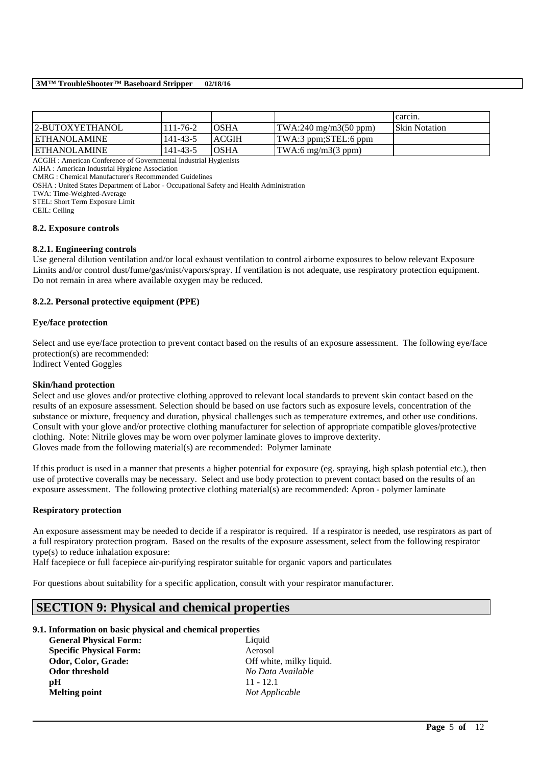|                                                                             |          |              |                                                | carcin.               |
|-----------------------------------------------------------------------------|----------|--------------|------------------------------------------------|-----------------------|
| 2-BUTOXYETHANOL                                                             | 111-76-2 | <b>OSHA</b>  | $\text{TWA:}240 \text{ mg/m}3(50 \text{ ppm})$ | <b>ISkin Notation</b> |
| <b>ETHANOLAMINE</b>                                                         | 141-43-5 | <b>ACGIH</b> | TWA:3 ppm;STEL:6 ppm                           |                       |
| <b>ETHANOLAMINE</b>                                                         | 141-43-5 | <b>OSHA</b>  | $\text{TWA:6 mg/m3}(3 \text{ ppm})$            |                       |
| $\sim$ $\sim$ $\sim$ $\sim$ $\sim$ $\sim$<br>$\sim$ $\sim$<br>$\sim$ $\sim$ |          |              |                                                |                       |

ACGIH : American Conference of Governmental Industrial Hygienists

AIHA : American Industrial Hygiene Association

CMRG : Chemical Manufacturer's Recommended Guidelines

OSHA : United States Department of Labor - Occupational Safety and Health Administration

TWA: Time-Weighted-Average

STEL: Short Term Exposure Limit

CEIL: Ceiling

#### **8.2. Exposure controls**

#### **8.2.1. Engineering controls**

Use general dilution ventilation and/or local exhaust ventilation to control airborne exposures to below relevant Exposure Limits and/or control dust/fume/gas/mist/vapors/spray. If ventilation is not adequate, use respiratory protection equipment. Do not remain in area where available oxygen may be reduced.

#### **8.2.2. Personal protective equipment (PPE)**

#### **Eye/face protection**

Select and use eye/face protection to prevent contact based on the results of an exposure assessment. The following eye/face protection(s) are recommended:

Indirect Vented Goggles

#### **Skin/hand protection**

Select and use gloves and/or protective clothing approved to relevant local standards to prevent skin contact based on the results of an exposure assessment. Selection should be based on use factors such as exposure levels, concentration of the substance or mixture, frequency and duration, physical challenges such as temperature extremes, and other use conditions. Consult with your glove and/or protective clothing manufacturer for selection of appropriate compatible gloves/protective clothing. Note: Nitrile gloves may be worn over polymer laminate gloves to improve dexterity. Gloves made from the following material(s) are recommended: Polymer laminate

If this product is used in a manner that presents a higher potential for exposure (eg. spraying, high splash potential etc.), then use of protective coveralls may be necessary. Select and use body protection to prevent contact based on the results of an exposure assessment. The following protective clothing material(s) are recommended: Apron - polymer laminate

#### **Respiratory protection**

An exposure assessment may be needed to decide if a respirator is required. If a respirator is needed, use respirators as part of a full respiratory protection program. Based on the results of the exposure assessment, select from the following respirator type(s) to reduce inhalation exposure:

\_\_\_\_\_\_\_\_\_\_\_\_\_\_\_\_\_\_\_\_\_\_\_\_\_\_\_\_\_\_\_\_\_\_\_\_\_\_\_\_\_\_\_\_\_\_\_\_\_\_\_\_\_\_\_\_\_\_\_\_\_\_\_\_\_\_\_\_\_\_\_\_\_\_\_\_\_\_\_\_\_\_\_\_\_\_\_\_\_\_

Half facepiece or full facepiece air-purifying respirator suitable for organic vapors and particulates

For questions about suitability for a specific application, consult with your respirator manufacturer.

## **SECTION 9: Physical and chemical properties**

### **9.1. Information on basic physical and chemical properties**

**General Physical Form:** Liquid **Specific Physical Form:** Aerosol Odor, Color, Grade: Off white, milky liquid. **Odor threshold** *No Data Available* **pH** 11 - 12.1 **Melting point** *Not Applicable*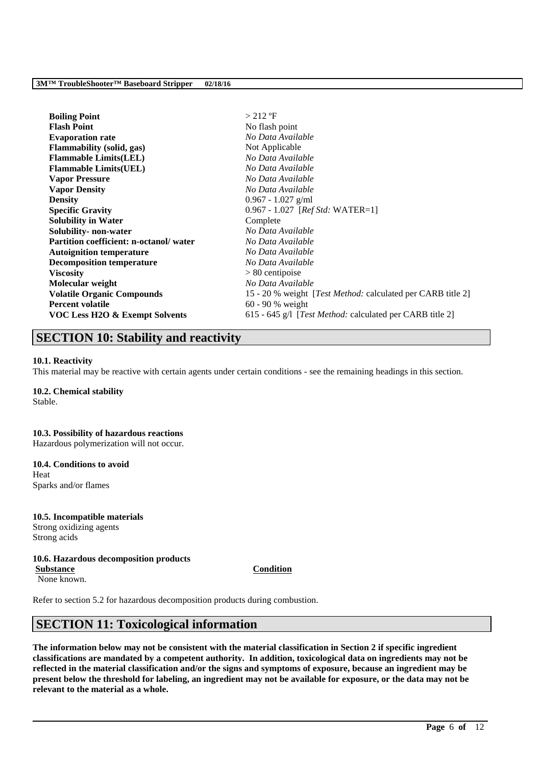| <b>Boiling Point</b>                   | $>$ 212 °F                                                          |
|----------------------------------------|---------------------------------------------------------------------|
| <b>Flash Point</b>                     | No flash point                                                      |
| <b>Evaporation rate</b>                | No Data Available                                                   |
| <b>Flammability (solid, gas)</b>       | Not Applicable                                                      |
| <b>Flammable Limits(LEL)</b>           | No Data Available                                                   |
| <b>Flammable Limits (UEL)</b>          | No Data Available                                                   |
| <b>Vapor Pressure</b>                  | No Data Available                                                   |
| <b>Vapor Density</b>                   | No Data Available                                                   |
| <b>Density</b>                         | $0.967 - 1.027$ g/ml                                                |
| <b>Specific Gravity</b>                | $0.967 - 1.027$ [ <i>Ref Std:</i> WATER=1]                          |
| <b>Solubility in Water</b>             | Complete                                                            |
| Solubility- non-water                  | No Data Available                                                   |
| Partition coefficient: n-octanol/water | No Data Available                                                   |
| <b>Autoignition temperature</b>        | No Data Available                                                   |
| <b>Decomposition temperature</b>       | No Data Available                                                   |
| <b>Viscosity</b>                       | $> 80$ centipoise                                                   |
| Molecular weight                       | No Data Available                                                   |
| <b>Volatile Organic Compounds</b>      | 15 - 20 % weight [ <i>Test Method:</i> calculated per CARB title 2] |
| <b>Percent volatile</b>                | $60 - 90$ % weight                                                  |
| VOC Less H2O & Exempt Solvents         | 615 - 645 g/l [ <i>Test Method:</i> calculated per CARB title 2]    |

## **SECTION 10: Stability and reactivity**

#### **10.1. Reactivity**

This material may be reactive with certain agents under certain conditions - see the remaining headings in this section.

## **10.2. Chemical stability**

Stable.

#### **10.3. Possibility of hazardous reactions** Hazardous polymerization will not occur.

**10.4. Conditions to avoid** Heat

Sparks and/or flames

#### **10.5. Incompatible materials** Strong oxidizing agents Strong acids

#### **10.6. Hazardous decomposition products Substance Condition**

None known.

Refer to section 5.2 for hazardous decomposition products during combustion.

## **SECTION 11: Toxicological information**

**The information below may not be consistent with the material classification in Section 2 if specific ingredient classifications are mandated by a competent authority. In addition, toxicological data on ingredients may not be reflected in the material classification and/or the signs and symptoms of exposure, because an ingredient may be present below the threshold for labeling, an ingredient may not be available for exposure, or the data may not be relevant to the material as a whole.**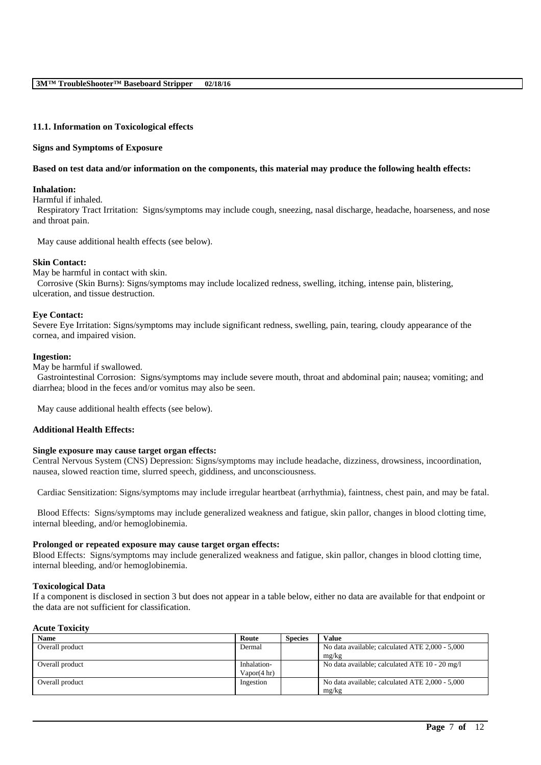#### **11.1. Information on Toxicological effects**

#### **Signs and Symptoms of Exposure**

#### **Based on test data and/or information on the components, this material may produce the following health effects:**

#### **Inhalation:**

Harmful if inhaled.

Respiratory Tract Irritation: Signs/symptoms may include cough, sneezing, nasal discharge, headache, hoarseness, and nose and throat pain.

May cause additional health effects (see below).

#### **Skin Contact:**

May be harmful in contact with skin. Corrosive (Skin Burns): Signs/symptoms may include localized redness, swelling, itching, intense pain, blistering, ulceration, and tissue destruction.

#### **Eye Contact:**

Severe Eye Irritation: Signs/symptoms may include significant redness, swelling, pain, tearing, cloudy appearance of the cornea, and impaired vision.

#### **Ingestion:**

May be harmful if swallowed.

Gastrointestinal Corrosion: Signs/symptoms may include severe mouth, throat and abdominal pain; nausea; vomiting; and diarrhea; blood in the feces and/or vomitus may also be seen.

May cause additional health effects (see below).

#### **Additional Health Effects:**

#### **Single exposure may cause target organ effects:**

Central Nervous System (CNS) Depression: Signs/symptoms may include headache, dizziness, drowsiness, incoordination, nausea, slowed reaction time, slurred speech, giddiness, and unconsciousness.

Cardiac Sensitization: Signs/symptoms may include irregular heartbeat (arrhythmia), faintness, chest pain, and may be fatal.

Blood Effects: Signs/symptoms may include generalized weakness and fatigue, skin pallor, changes in blood clotting time, internal bleeding, and/or hemoglobinemia.

#### **Prolonged or repeated exposure may cause target organ effects:**

Blood Effects: Signs/symptoms may include generalized weakness and fatigue, skin pallor, changes in blood clotting time, internal bleeding, and/or hemoglobinemia.

#### **Toxicological Data**

If a component is disclosed in section 3 but does not appear in a table below, either no data are available for that endpoint or the data are not sufficient for classification.

#### **Acute Toxicity**

| <b>Name</b>     | Route       | <b>Species</b> | <b>Value</b>                                    |
|-----------------|-------------|----------------|-------------------------------------------------|
| Overall product | Dermal      |                | No data available; calculated ATE 2,000 - 5,000 |
|                 |             |                | mg/kg                                           |
| Overall product | Inhalation- |                | No data available; calculated ATE 10 - 20 mg/l  |
|                 | Vapor(4 hr) |                |                                                 |
| Overall product | Ingestion   |                | No data available; calculated ATE 2,000 - 5,000 |
|                 |             |                | mg/kg                                           |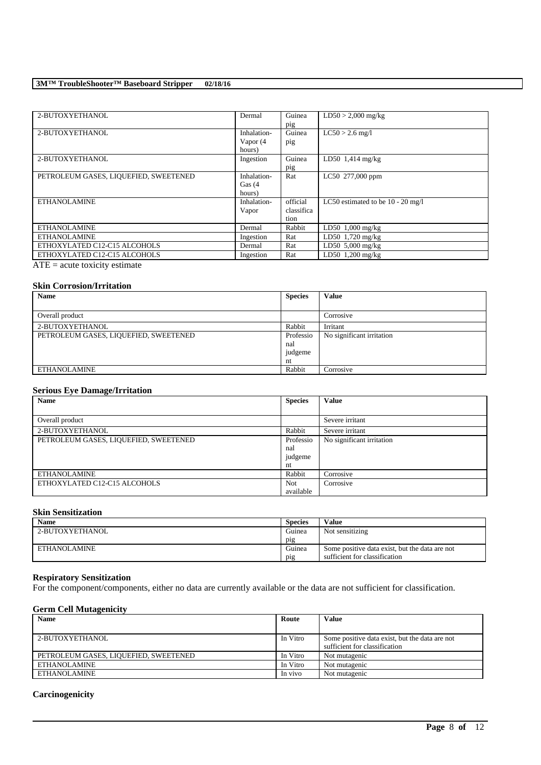| 2-BUTOXYETHANOL                                                                                                                   | Dermal      | Guinea     | $LD50 > 2,000$ mg/kg                |
|-----------------------------------------------------------------------------------------------------------------------------------|-------------|------------|-------------------------------------|
|                                                                                                                                   |             | pig        |                                     |
| 2-BUTOXYETHANOL                                                                                                                   | Inhalation- | Guinea     | $LC50 > 2.6$ mg/l                   |
|                                                                                                                                   | Vapor (4    | pig        |                                     |
|                                                                                                                                   | hours)      |            |                                     |
| 2-BUTOXYETHANOL                                                                                                                   | Ingestion   | Guinea     | $LD50$ 1,414 mg/kg                  |
|                                                                                                                                   |             | pig        |                                     |
| PETROLEUM GASES, LIQUEFIED, SWEETENED                                                                                             | Inhalation- | Rat        | LC50 277,000 ppm                    |
|                                                                                                                                   | Gas $(4)$   |            |                                     |
|                                                                                                                                   | hours)      |            |                                     |
| <b>ETHANOLAMINE</b>                                                                                                               | Inhalation- | official   | LC50 estimated to be $10 - 20$ mg/l |
|                                                                                                                                   | Vapor       | classifica |                                     |
|                                                                                                                                   |             | tion       |                                     |
| <b>ETHANOLAMINE</b>                                                                                                               | Dermal      | Rabbit     | $LD50$ 1,000 mg/kg                  |
| <b>ETHANOLAMINE</b>                                                                                                               | Ingestion   | Rat        | LD50 $1,720$ mg/kg                  |
| ETHOXYLATED C12-C15 ALCOHOLS                                                                                                      | Dermal      | Rat        | LD50 $5,000$ mg/kg                  |
| ETHOXYLATED C12-C15 ALCOHOLS                                                                                                      | Ingestion   | Rat        | LD50 $1,200$ mg/kg                  |
| $\overline{1}$<br>the contract of the contract of the contract of the contract of the contract of the contract of the contract of |             |            |                                     |

ATE = acute toxicity estimate

### **Skin Corrosion/Irritation**

| <b>Name</b>                           | <b>Species</b>                    | <b>Value</b>              |
|---------------------------------------|-----------------------------------|---------------------------|
|                                       |                                   |                           |
| Overall product                       |                                   | Corrosive                 |
| 2-BUTOXYETHANOL                       | Rabbit                            | Irritant                  |
| PETROLEUM GASES, LIQUEFIED, SWEETENED | Professio<br>nal<br>judgeme<br>nt | No significant irritation |
| <b>ETHANOLAMINE</b>                   | Rabbit                            | Corrosive                 |

### **Serious Eye Damage/Irritation**

| Name                                  | <b>Species</b> | <b>Value</b>              |
|---------------------------------------|----------------|---------------------------|
|                                       |                |                           |
| Overall product                       |                | Severe irritant           |
| 2-BUTOXYETHANOL                       | Rabbit         | Severe irritant           |
| PETROLEUM GASES, LIQUEFIED, SWEETENED | Professio      | No significant irritation |
|                                       | nal            |                           |
|                                       | judgeme        |                           |
|                                       | nt             |                           |
| <b>ETHANOLAMINE</b>                   | Rabbit         | Corrosive                 |
| ETHOXYLATED C12-C15 ALCOHOLS          | <b>Not</b>     | Corrosive                 |
|                                       | available      |                           |

## **Skin Sensitization**

| Name            | <b>Species</b>   | <b>Value</b>                                   |
|-----------------|------------------|------------------------------------------------|
| 2-BUTOXYETHANOL | Guinea           | Not sensitizing                                |
|                 | p <sub>1</sub> g |                                                |
| ETHANOLAMINE    | Guinea           | Some positive data exist, but the data are not |
|                 | pig              | sufficient for classification                  |

#### **Respiratory Sensitization**

For the component/components, either no data are currently available or the data are not sufficient for classification.

## **Germ Cell Mutagenicity**

| <b>Name</b>                           | Route    | Value                                          |
|---------------------------------------|----------|------------------------------------------------|
|                                       |          |                                                |
| 2-BUTOXYETHANOL                       | In Vitro | Some positive data exist, but the data are not |
|                                       |          | sufficient for classification                  |
| PETROLEUM GASES, LIQUEFIED, SWEETENED | In Vitro | Not mutagenic                                  |
| ETHANOLAMINE                          | In Vitro | Not mutagenic                                  |
| ETHANOLAMINE                          | In vivo  | Not mutagenic                                  |

\_\_\_\_\_\_\_\_\_\_\_\_\_\_\_\_\_\_\_\_\_\_\_\_\_\_\_\_\_\_\_\_\_\_\_\_\_\_\_\_\_\_\_\_\_\_\_\_\_\_\_\_\_\_\_\_\_\_\_\_\_\_\_\_\_\_\_\_\_\_\_\_\_\_\_\_\_\_\_\_\_\_\_\_\_\_\_\_\_\_

### **Carcinogenicity**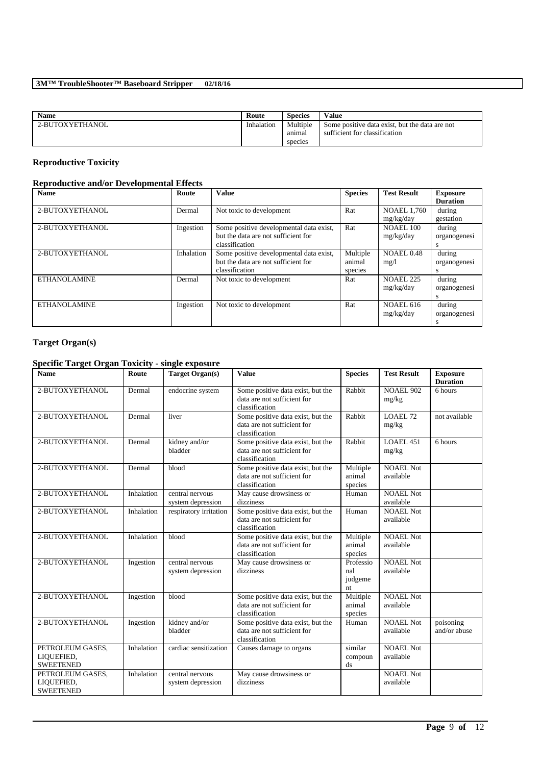| <b>Name</b>     | Route      | <b>Species</b>     | Value                                                                           |
|-----------------|------------|--------------------|---------------------------------------------------------------------------------|
| 2-BUTOXYETHANOL | Inhalation | Multiple<br>anımal | Some positive data exist, but the data are not<br>sufficient for classification |
|                 |            | species            |                                                                                 |

## **Reproductive Toxicity**

## **Reproductive and/or Developmental Effects**

| <b>Name</b>         | Route      | <b>Value</b>                            | <b>Species</b> | <b>Test Result</b> | <b>Exposure</b> |
|---------------------|------------|-----------------------------------------|----------------|--------------------|-----------------|
|                     |            |                                         |                |                    | <b>Duration</b> |
| 2-BUTOXYETHANOL     | Dermal     | Not toxic to development                | Rat            | <b>NOAEL 1.760</b> | during          |
|                     |            |                                         |                | mg/kg/day          | gestation       |
| 2-BUTOXYETHANOL     | Ingestion  | Some positive developmental data exist, | Rat            | <b>NOAEL 100</b>   | during          |
|                     |            | but the data are not sufficient for     |                | mg/kg/day          | organogenesi    |
|                     |            | classification                          |                |                    | s               |
| 2-BUTOXYETHANOL     | Inhalation | Some positive developmental data exist, | Multiple       | NOAEL 0.48         | during          |
|                     |            | but the data are not sufficient for     | animal         | mg/l               | organogenesi    |
|                     |            | classification                          | species        |                    | S               |
| <b>ETHANOLAMINE</b> | Dermal     | Not toxic to development                | Rat            | <b>NOAEL 225</b>   | during          |
|                     |            |                                         |                | mg/kg/day          | organogenesi    |
|                     |            |                                         |                |                    | S               |
| <b>ETHANOLAMINE</b> | Ingestion  | Not toxic to development                | Rat            | <b>NOAEL 616</b>   | during          |
|                     |            |                                         |                | mg/kg/day          | organogenesi    |
|                     |            |                                         |                |                    | S               |

### **Target Organ(s)**

## **Specific Target Organ Toxicity - single exposure**

| <b>Name</b>                                        | Route      | <b>Target Organ(s)</b>               | <b>Value</b>                                                                       | <b>Species</b>                    | <b>Test Result</b>            | <b>Exposure</b><br><b>Duration</b> |
|----------------------------------------------------|------------|--------------------------------------|------------------------------------------------------------------------------------|-----------------------------------|-------------------------------|------------------------------------|
| 2-BUTOXYETHANOL                                    | Dermal     | endocrine system                     | Some positive data exist, but the<br>data are not sufficient for<br>classification | Rabbit                            | <b>NOAEL 902</b><br>mg/kg     | 6 hours                            |
| 2-BUTOXYETHANOL                                    | Dermal     | liver                                | Some positive data exist, but the<br>data are not sufficient for<br>classification | Rabbit                            | LOAEL 72<br>mg/kg             | not available                      |
| 2-BUTOXYETHANOL                                    | Dermal     | kidney and/or<br>bladder             | Some positive data exist, but the<br>data are not sufficient for<br>classification | Rabbit                            | <b>LOAEL 451</b><br>mg/kg     | 6 hours                            |
| 2-BUTOXYETHANOL                                    | Dermal     | blood                                | Some positive data exist, but the<br>data are not sufficient for<br>classification | Multiple<br>animal<br>species     | <b>NOAEL Not</b><br>available |                                    |
| 2-BUTOXYETHANOL                                    | Inhalation | central nervous<br>system depression | May cause drowsiness or<br>dizziness                                               | Human                             | NOAEL Not<br>available        |                                    |
| 2-BUTOXYETHANOL                                    | Inhalation | respiratory irritation               | Some positive data exist, but the<br>data are not sufficient for<br>classification | Human                             | <b>NOAEL Not</b><br>available |                                    |
| 2-BUTOXYETHANOL                                    | Inhalation | blood                                | Some positive data exist, but the<br>data are not sufficient for<br>classification | Multiple<br>animal<br>species     | <b>NOAEL Not</b><br>available |                                    |
| 2-BUTOXYETHANOL                                    | Ingestion  | central nervous<br>system depression | May cause drowsiness or<br>dizziness                                               | Professio<br>nal<br>judgeme<br>nt | <b>NOAEL Not</b><br>available |                                    |
| 2-BUTOXYETHANOL                                    | Ingestion  | blood                                | Some positive data exist, but the<br>data are not sufficient for<br>classification | Multiple<br>animal<br>species     | <b>NOAEL Not</b><br>available |                                    |
| 2-BUTOXYETHANOL                                    | Ingestion  | kidney and/or<br>bladder             | Some positive data exist, but the<br>data are not sufficient for<br>classification | Human                             | <b>NOAEL Not</b><br>available | poisoning<br>and/or abuse          |
| PETROLEUM GASES,<br>LIQUEFIED,<br><b>SWEETENED</b> | Inhalation | cardiac sensitization                | Causes damage to organs                                                            | similar<br>compoun<br>ds          | <b>NOAEL Not</b><br>available |                                    |
| PETROLEUM GASES,<br>LIQUEFIED,<br><b>SWEETENED</b> | Inhalation | central nervous<br>system depression | May cause drowsiness or<br>dizziness                                               |                                   | <b>NOAEL Not</b><br>available |                                    |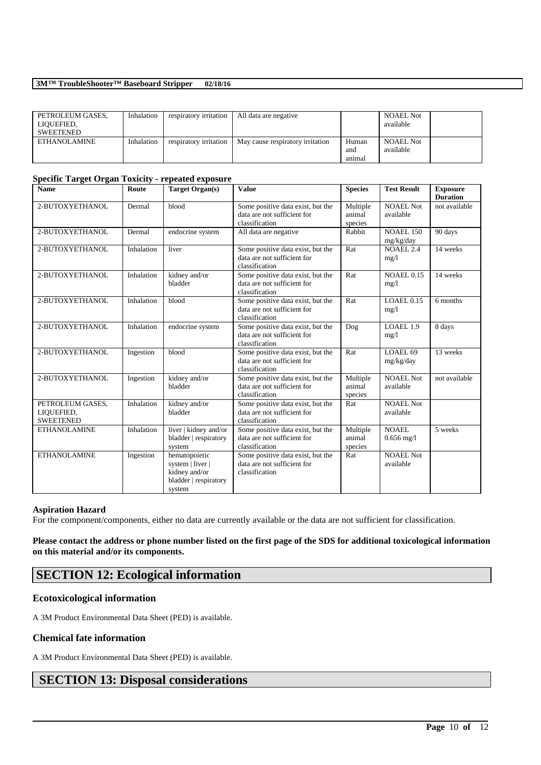| PETROLEUM GASES.<br>LIQUEFIED.<br><b>SWEETENED</b> | Inhalation | respiratory irritation | All data are negative            |                        | <b>NOAEL Not</b><br>available |  |
|----------------------------------------------------|------------|------------------------|----------------------------------|------------------------|-------------------------------|--|
| ETHANOLAMINE                                       | Inhalation | respiratory irritation | May cause respiratory irritation | Human<br>and<br>animal | <b>NOAEL Not</b><br>available |  |

#### **Specific Target Organ Toxicity - repeated exposure**

| <b>Name</b>                                        | Route      | <b>Target Organ(s)</b>                                                                | <b>Value</b>                                                                       | <b>Species</b>                | <b>Test Result</b>             | <b>Exposure</b><br><b>Duration</b> |
|----------------------------------------------------|------------|---------------------------------------------------------------------------------------|------------------------------------------------------------------------------------|-------------------------------|--------------------------------|------------------------------------|
| 2-BUTOXYETHANOL                                    | Dermal     | blood                                                                                 | Some positive data exist, but the<br>data are not sufficient for<br>classification | Multiple<br>animal<br>species | <b>NOAEL Not</b><br>available  | not available                      |
| 2-BUTOXYETHANOL                                    | Dermal     | endocrine system                                                                      | All data are negative                                                              | Rabbit                        | <b>NOAEL 150</b><br>mg/kg/day  | 90 days                            |
| 2-BUTOXYETHANOL                                    | Inhalation | liver                                                                                 | Some positive data exist, but the<br>data are not sufficient for<br>classification | Rat                           | <b>NOAEL 2.4</b><br>mg/1       | 14 weeks                           |
| 2-BUTOXYETHANOL                                    | Inhalation | kidney and/or<br>bladder                                                              | Some positive data exist, but the<br>data are not sufficient for<br>classification | Rat                           | <b>NOAEL 0.15</b><br>mg/1      | 14 weeks                           |
| 2-BUTOXYETHANOL                                    | Inhalation | blood                                                                                 | Some positive data exist, but the<br>data are not sufficient for<br>classification | Rat                           | LOAEL 0.15<br>mg/1             | 6 months                           |
| 2-BUTOXYETHANOL                                    | Inhalation | endocrine system                                                                      | Some positive data exist, but the<br>data are not sufficient for<br>classification | Dog                           | LOAEL 1.9<br>mg/1              | 8 days                             |
| 2-BUTOXYETHANOL                                    | Ingestion  | blood                                                                                 | Some positive data exist, but the<br>data are not sufficient for<br>classification | Rat                           | LOAEL 69<br>mg/kg/day          | 13 weeks                           |
| 2-BUTOXYETHANOL                                    | Ingestion  | kidney and/or<br>bladder                                                              | Some positive data exist, but the<br>data are not sufficient for<br>classification | Multiple<br>animal<br>species | <b>NOAEL Not</b><br>available  | not available                      |
| PETROLEUM GASES,<br>LIQUEFIED,<br><b>SWEETENED</b> | Inhalation | kidney and/or<br>bladder                                                              | Some positive data exist, but the<br>data are not sufficient for<br>classification | Rat                           | <b>NOAEL Not</b><br>available  |                                    |
| <b>ETHANOLAMINE</b>                                | Inhalation | liver   kidney and/or<br>bladder   respiratory<br>system                              | Some positive data exist, but the<br>data are not sufficient for<br>classification | Multiple<br>animal<br>species | NOAEL.<br>$0.656 \text{ mg}/1$ | 5 weeks                            |
| <b>ETHANOLAMINE</b>                                | Ingestion  | hematopoietic<br>system   liver  <br>kidney and/or<br>bladder   respiratory<br>system | Some positive data exist, but the<br>data are not sufficient for<br>classification | Rat                           | <b>NOAEL Not</b><br>available  |                                    |

#### **Aspiration Hazard**

For the component/components, either no data are currently available or the data are not sufficient for classification.

### **Please contact the address or phone number listed on the first page of the SDS for additional toxicological information on this material and/or its components.**

\_\_\_\_\_\_\_\_\_\_\_\_\_\_\_\_\_\_\_\_\_\_\_\_\_\_\_\_\_\_\_\_\_\_\_\_\_\_\_\_\_\_\_\_\_\_\_\_\_\_\_\_\_\_\_\_\_\_\_\_\_\_\_\_\_\_\_\_\_\_\_\_\_\_\_\_\_\_\_\_\_\_\_\_\_\_\_\_\_\_

## **SECTION 12: Ecological information**

#### **Ecotoxicological information**

A 3M Product Environmental Data Sheet (PED) is available.

#### **Chemical fate information**

A 3M Product Environmental Data Sheet (PED) is available.

## **SECTION 13: Disposal considerations**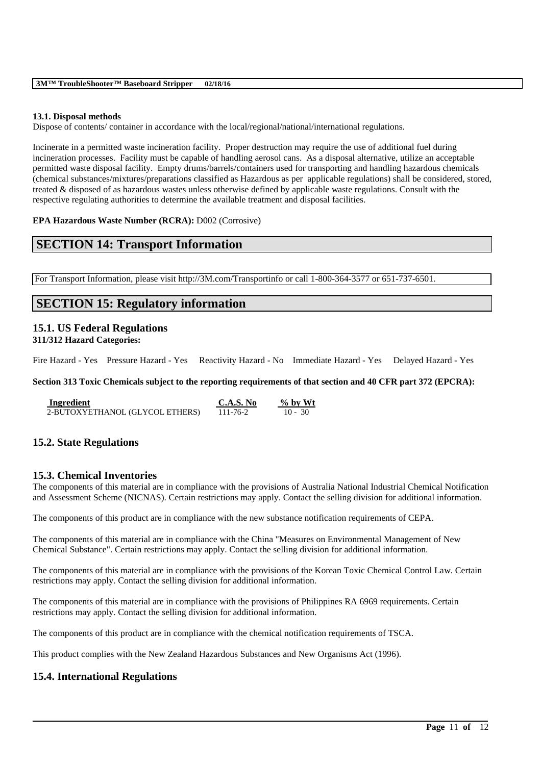#### **13.1. Disposal methods**

Dispose of contents/ container in accordance with the local/regional/national/international regulations.

Incinerate in a permitted waste incineration facility. Proper destruction may require the use of additional fuel during incineration processes. Facility must be capable of handling aerosol cans. As a disposal alternative, utilize an acceptable permitted waste disposal facility. Empty drums/barrels/containers used for transporting and handling hazardous chemicals (chemical substances/mixtures/preparations classified as Hazardous as per applicable regulations) shall be considered, stored, treated & disposed of as hazardous wastes unless otherwise defined by applicable waste regulations. Consult with the respective regulating authorities to determine the available treatment and disposal facilities.

**EPA Hazardous Waste Number (RCRA):** D002 (Corrosive)

## **SECTION 14: Transport Information**

For Transport Information, please visit http://3M.com/Transportinfo or call 1-800-364-3577 or 651-737-6501.

## **SECTION 15: Regulatory information**

# **15.1. US Federal Regulations**

**311/312 Hazard Categories:**

Fire Hazard - Yes Pressure Hazard - Yes Reactivity Hazard - No Immediate Hazard - Yes Delayed Hazard - Yes

**Section 313 Toxic Chemicals subject to the reporting requirements of that section and 40 CFR part 372 (EPCRA):**

| Ingredient                      | C.A.S. No | $\%$ by Wt |
|---------------------------------|-----------|------------|
| 2-BUTOXYETHANOL (GLYCOL ETHERS) | 111-76-2  | $10 - 30$  |

### **15.2. State Regulations**

#### **15.3. Chemical Inventories**

The components of this material are in compliance with the provisions of Australia National Industrial Chemical Notification and Assessment Scheme (NICNAS). Certain restrictions may apply. Contact the selling division for additional information.

The components of this product are in compliance with the new substance notification requirements of CEPA.

The components of this material are in compliance with the China "Measures on Environmental Management of New Chemical Substance". Certain restrictions may apply. Contact the selling division for additional information.

The components of this material are in compliance with the provisions of the Korean Toxic Chemical Control Law. Certain restrictions may apply. Contact the selling division for additional information.

\_\_\_\_\_\_\_\_\_\_\_\_\_\_\_\_\_\_\_\_\_\_\_\_\_\_\_\_\_\_\_\_\_\_\_\_\_\_\_\_\_\_\_\_\_\_\_\_\_\_\_\_\_\_\_\_\_\_\_\_\_\_\_\_\_\_\_\_\_\_\_\_\_\_\_\_\_\_\_\_\_\_\_\_\_\_\_\_\_\_

The components of this material are in compliance with the provisions of Philippines RA 6969 requirements. Certain restrictions may apply. Contact the selling division for additional information.

The components of this product are in compliance with the chemical notification requirements of TSCA.

This product complies with the New Zealand Hazardous Substances and New Organisms Act (1996).

### **15.4. International Regulations**